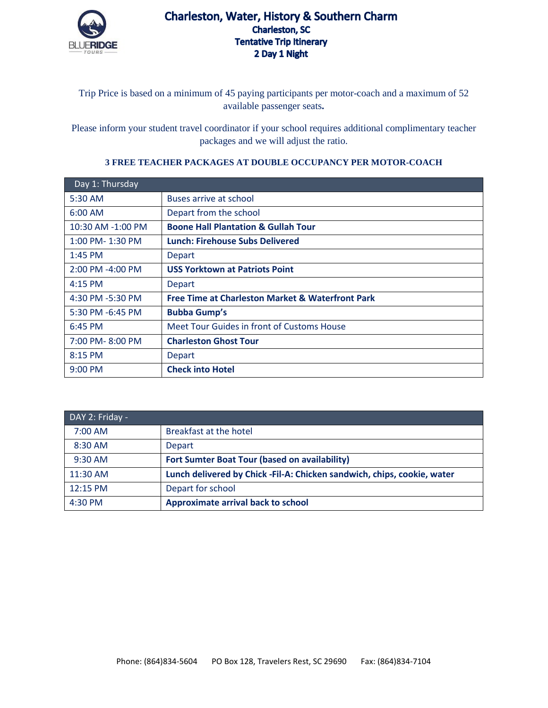

## Charleston, Water, History & Southern Charm **Charleston, SC Tentative Trip Itinerary** 2 Day 1 Night

Trip Price is based on a minimum of 45 paying participants per motor-coach and a maximum of 52 available passenger seats**.**

Please inform your student travel coordinator if your school requires additional complimentary teacher packages and we will adjust the ratio.

## **3 FREE TEACHER PACKAGES AT DOUBLE OCCUPANCY PER MOTOR-COACH**

| Day 1: Thursday      |                                                             |
|----------------------|-------------------------------------------------------------|
| 5:30 AM              | Buses arrive at school                                      |
| $6:00$ AM            | Depart from the school                                      |
| 10:30 AM -1:00 PM    | <b>Boone Hall Plantation &amp; Gullah Tour</b>              |
| $1:00$ PM- $1:30$ PM | <b>Lunch: Firehouse Subs Delivered</b>                      |
| $1:45$ PM            | <b>Depart</b>                                               |
| 2:00 PM -4:00 PM     | <b>USS Yorktown at Patriots Point</b>                       |
| $4:15$ PM            | Depart                                                      |
| 4:30 PM -5:30 PM     | <b>Free Time at Charleston Market &amp; Waterfront Park</b> |
| 5:30 PM -6:45 PM     | <b>Bubba Gump's</b>                                         |
| 6:45 PM              | Meet Tour Guides in front of Customs House                  |
| 7:00 PM-8:00 PM      | <b>Charleston Ghost Tour</b>                                |
| 8:15 PM              | <b>Depart</b>                                               |
| $9:00$ PM            | <b>Check into Hotel</b>                                     |

| DAY 2: Friday - |                                                                          |  |
|-----------------|--------------------------------------------------------------------------|--|
| 7:00 AM         | Breakfast at the hotel                                                   |  |
| 8:30 AM         | Depart                                                                   |  |
| $9:30$ AM       | Fort Sumter Boat Tour (based on availability)                            |  |
| 11:30 AM        | Lunch delivered by Chick - Fil-A: Chicken sandwich, chips, cookie, water |  |
| 12:15 PM        | Depart for school                                                        |  |
| 4:30 PM         | <b>Approximate arrival back to school</b>                                |  |